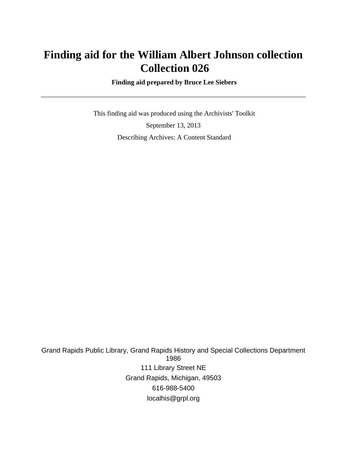# **Finding aid for the William Albert Johnson collection Collection 026**

 **Finding aid prepared by Bruce Lee Siebers**

 This finding aid was produced using the Archivists' Toolkit September 13, 2013 Describing Archives: A Content Standard

Grand Rapids Public Library, Grand Rapids History and Special Collections Department 1986 111 Library Street NE Grand Rapids, Michigan, 49503 616-988-5400 localhis@grpl.org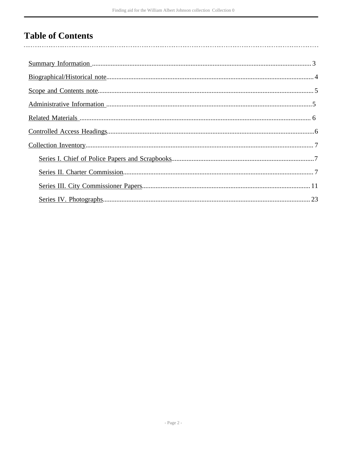## **Table of Contents**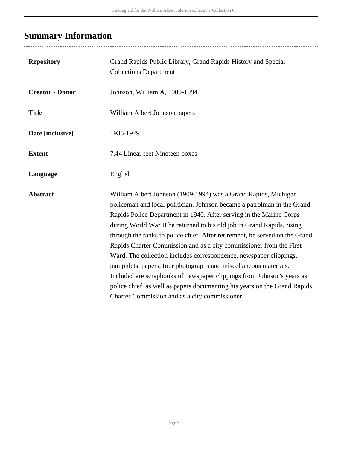# <span id="page-2-0"></span>**Summary Information**

..................................

| <b>Repository</b>      | Grand Rapids Public Library, Grand Rapids History and Special<br><b>Collections Department</b>                                                                                                                                                                                                                                                                                                                                                                                                                                                                                                                                                                                                                                                                                                       |
|------------------------|------------------------------------------------------------------------------------------------------------------------------------------------------------------------------------------------------------------------------------------------------------------------------------------------------------------------------------------------------------------------------------------------------------------------------------------------------------------------------------------------------------------------------------------------------------------------------------------------------------------------------------------------------------------------------------------------------------------------------------------------------------------------------------------------------|
| <b>Creator - Donor</b> | Johnson, William A, 1909-1994                                                                                                                                                                                                                                                                                                                                                                                                                                                                                                                                                                                                                                                                                                                                                                        |
| <b>Title</b>           | William Albert Johnson papers                                                                                                                                                                                                                                                                                                                                                                                                                                                                                                                                                                                                                                                                                                                                                                        |
| Date [inclusive]       | 1936-1979                                                                                                                                                                                                                                                                                                                                                                                                                                                                                                                                                                                                                                                                                                                                                                                            |
| <b>Extent</b>          | 7.44 Linear feet Nineteen boxes                                                                                                                                                                                                                                                                                                                                                                                                                                                                                                                                                                                                                                                                                                                                                                      |
| Language               | English                                                                                                                                                                                                                                                                                                                                                                                                                                                                                                                                                                                                                                                                                                                                                                                              |
| <b>Abstract</b>        | William Albert Johnson (1909-1994) was a Grand Rapids, Michigan<br>policeman and local politician. Johnson became a patrolman in the Grand<br>Rapids Police Department in 1940. After serving in the Marine Corps<br>during World War II he returned to his old job in Grand Rapids, rising<br>through the ranks to police chief. After retirement, he served on the Grand<br>Rapids Charter Commission and as a city commissioner from the First<br>Ward. The collection includes correspondence, newspaper clippings,<br>pamphlets, papers, four photographs and miscellaneous materials.<br>Included are scrapbooks of newspaper clippings from Johnson's years as<br>police chief, as well as papers documenting his years on the Grand Rapids<br>Charter Commission and as a city commissioner. |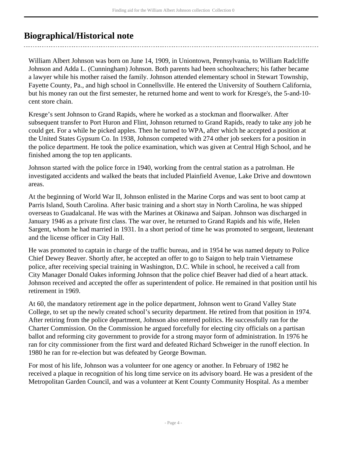### <span id="page-3-0"></span>**Biographical/Historical note**

William Albert Johnson was born on June 14, 1909, in Uniontown, Pennsylvania, to William Radcliffe Johnson and Adda L. (Cunningham) Johnson. Both parents had been schoolteachers; his father became a lawyer while his mother raised the family. Johnson attended elementary school in Stewart Township, Fayette County, Pa., and high school in Connellsville. He entered the University of Southern California, but his money ran out the first semester, he returned home and went to work for Kresge's, the 5-and-10 cent store chain.

Kresge's sent Johnson to Grand Rapids, where he worked as a stockman and floorwalker. After subsequent transfer to Port Huron and Flint, Johnson returned to Grand Rapids, ready to take any job he could get. For a while he picked apples. Then he turned to WPA, after which he accepted a position at the United States Gypsum Co. In 1938, Johnson competed with 274 other job seekers for a position in the police department. He took the police examination, which was given at Central High School, and he finished among the top ten applicants.

Johnson started with the police force in 1940, working from the central station as a patrolman. He investigated accidents and walked the beats that included Plainfield Avenue, Lake Drive and downtown areas.

At the beginning of World War II, Johnson enlisted in the Marine Corps and was sent to boot camp at Parris Island, South Carolina. After basic training and a short stay in North Carolina, he was shipped overseas to Guadalcanal. He was with the Marines at Okinawa and Saipan. Johnson was discharged in January 1946 as a private first class. The war over, he returned to Grand Rapids and his wife, Helen Sargent, whom he had married in 1931. In a short period of time he was promoted to sergeant, lieutenant and the license officer in City Hall.

He was promoted to captain in charge of the traffic bureau, and in 1954 he was named deputy to Police Chief Dewey Beaver. Shortly after, he accepted an offer to go to Saigon to help train Vietnamese police, after receiving special training in Washington, D.C. While in school, he received a call from City Manager Donald Oakes informing Johnson that the police chief Beaver had died of a heart attack. Johnson received and accepted the offer as superintendent of police. He remained in that position until his retirement in 1969.

At 60, the mandatory retirement age in the police department, Johnson went to Grand Valley State College, to set up the newly created school's security department. He retired from that position in 1974. After retiring from the police department, Johnson also entered politics. He successfully ran for the Charter Commission. On the Commission he argued forcefully for electing city officials on a partisan ballot and reforming city government to provide for a strong mayor form of administration. In 1976 he ran for city commissioner from the first ward and defeated Richard Schweiger in the runoff election. In 1980 he ran for re-election but was defeated by George Bowman.

For most of his life, Johnson was a volunteer for one agency or another. In February of 1982 he received a plaque in recognition of his long time service on its advisory board. He was a president of the Metropolitan Garden Council, and was a volunteer at Kent County Community Hospital. As a member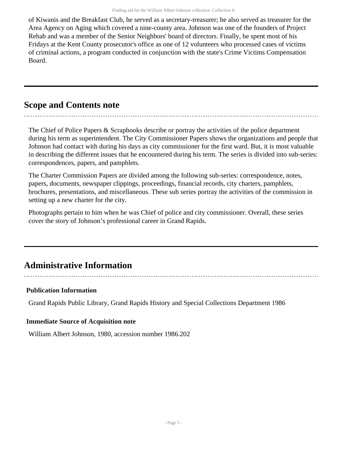of Kiwanis and the Breakfast Club, he served as a secretary-treasurer; he also served as treasurer for the Area Agency on Aging which covered a nine-county area. Johnson was one of the founders of Project Rehab and was a member of the Senior Neighbors' board of directors. Finally, he spent most of his Fridays at the Kent County prosecutor's office as one of 12 volunteers who processed cases of victims of criminal actions, a program conducted in conjunction with the state's Crime Victims Compensation Board.

### <span id="page-4-0"></span>**Scope and Contents note**

The Chief of Police Papers & Scrapbooks describe or portray the activities of the police department during his term as superintendent. The City Commissioner Papers shows the organizations and people that Johnson had contact with during his days as city commissioner for the first ward. But, it is most valuable in describing the different issues that he encountered during his term. The series is divided into sub-series: correspondences, papers, and pamphlets.

The Charter Commission Papers are divided among the following sub-series: correspondence, notes, papers, documents, newspaper clippings, proceedings, financial records, city charters, pamphlets, brochures, presentations, and miscellaneous. These sub series portray the activities of the commission in setting up a new charter for the city.

Photographs pertain to him when he was Chief of police and city commissioner. Overall, these series cover the story of Johnson's professional career in Grand Rapids.

## <span id="page-4-1"></span>**Administrative Information**

### **Publication Information**

Grand Rapids Public Library, Grand Rapids History and Special Collections Department 1986

### **Immediate Source of Acquisition note**

William Albert Johnson, 1980, accession number 1986.202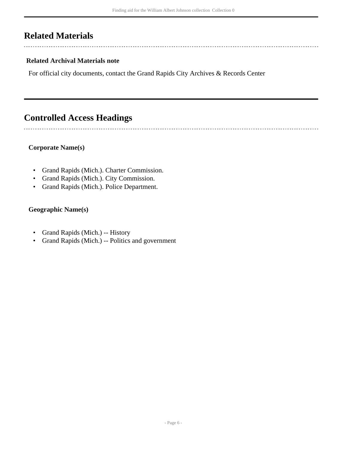### <span id="page-5-0"></span>**Related Materials**

 $\overline{a}$ 

 $\overline{a}$ 

### **Related Archival Materials note**

For official city documents, contact the Grand Rapids City Archives & Records Center

## <span id="page-5-1"></span>**Controlled Access Headings**

#### **Corporate Name(s)**

- Grand Rapids (Mich.). Charter Commission.
- Grand Rapids (Mich.). City Commission.
- Grand Rapids (Mich.). Police Department.

### **Geographic Name(s)**

- Grand Rapids (Mich.) -- History
- Grand Rapids (Mich.) -- Politics and government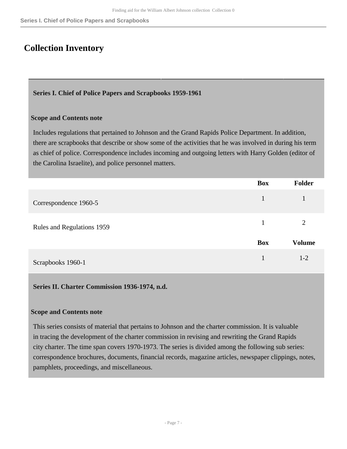### <span id="page-6-0"></span>**Collection Inventory**

### <span id="page-6-1"></span>**Series I. Chief of Police Papers and Scrapbooks 1959-1961**

#### **Scope and Contents note**

Includes regulations that pertained to Johnson and the Grand Rapids Police Department. In addition, there are scrapbooks that describe or show some of the activities that he was involved in during his term as chief of police. Correspondence includes incoming and outgoing letters with Harry Golden (editor of the Carolina Israelite), and police personnel matters.

|                            | <b>Box</b> | <b>Folder</b> |
|----------------------------|------------|---------------|
| Correspondence 1960-5      |            |               |
| Rules and Regulations 1959 |            | 2             |
|                            | <b>Box</b> | <b>Volume</b> |
| Scrapbooks 1960-1          |            | $1 - 2$       |

#### <span id="page-6-2"></span>**Series II. Charter Commission 1936-1974, n.d.**

#### **Scope and Contents note**

This series consists of material that pertains to Johnson and the charter commission. It is valuable in tracing the development of the charter commission in revising and rewriting the Grand Rapids city charter. The time span covers 1970-1973. The series is divided among the following sub series: correspondence brochures, documents, financial records, magazine articles, newspaper clippings, notes, pamphlets, proceedings, and miscellaneous.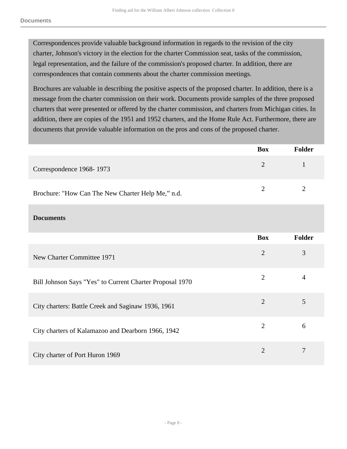Correspondences provide valuable background information in regards to the revision of the city charter, Johnson's victory in the election for the charter Commission seat, tasks of the commission, legal representation, and the failure of the commission's proposed charter. In addition, there are correspondences that contain comments about the charter commission meetings.

Brochures are valuable in describing the positive aspects of the proposed charter. In addition, there is a message from the charter commission on their work. Documents provide samples of the three proposed charters that were presented or offered by the charter commission, and charters from Michigan cities. In addition, there are copies of the 1951 and 1952 charters, and the Home Rule Act. Furthermore, there are documents that provide valuable information on the pros and cons of the proposed charter.

|                                                          | <b>Box</b>     | <b>Folder</b>  |
|----------------------------------------------------------|----------------|----------------|
| Correspondence 1968-1973                                 | $\overline{2}$ | $\mathbf{1}$   |
| Brochure: "How Can The New Charter Help Me," n.d.        | $\overline{2}$ | $\overline{2}$ |
| <b>Documents</b>                                         |                |                |
|                                                          | <b>Box</b>     | <b>Folder</b>  |
| New Charter Committee 1971                               | $\overline{2}$ | 3              |
| Bill Johnson Says "Yes" to Current Charter Proposal 1970 | $\overline{2}$ | $\overline{4}$ |
| City charters: Battle Creek and Saginaw 1936, 1961       | $\overline{2}$ | 5              |
| City charters of Kalamazoo and Dearborn 1966, 1942       | $\overline{2}$ | 6              |
| City charter of Port Huron 1969                          | $\overline{2}$ | 7              |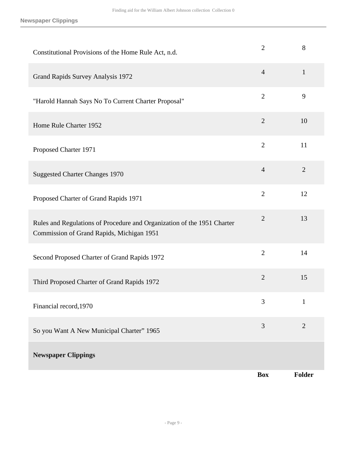**Newspaper Clippings**

| Constitutional Provisions of the Home Rule Act, n.d.                                                                 | $\overline{2}$ | 8              |
|----------------------------------------------------------------------------------------------------------------------|----------------|----------------|
| Grand Rapids Survey Analysis 1972                                                                                    | $\overline{4}$ | $\mathbf{1}$   |
| "Harold Hannah Says No To Current Charter Proposal"                                                                  | $\overline{2}$ | 9              |
| Home Rule Charter 1952                                                                                               | $\overline{2}$ | 10             |
| Proposed Charter 1971                                                                                                | $\overline{2}$ | 11             |
| <b>Suggested Charter Changes 1970</b>                                                                                | $\overline{4}$ | $\overline{2}$ |
| Proposed Charter of Grand Rapids 1971                                                                                | $\overline{2}$ | 12             |
| Rules and Regulations of Procedure and Organization of the 1951 Charter<br>Commission of Grand Rapids, Michigan 1951 | $\overline{2}$ | 13             |
| Second Proposed Charter of Grand Rapids 1972                                                                         | $\overline{2}$ | 14             |
| Third Proposed Charter of Grand Rapids 1972                                                                          | $\overline{2}$ | 15             |
| Financial record, 1970                                                                                               | 3              | $\mathbf{1}$   |
| So you Want A New Municipal Charter" 1965                                                                            | 3              | $\overline{2}$ |
| <b>Newspaper Clippings</b>                                                                                           |                |                |
|                                                                                                                      | <b>Box</b>     | Folder         |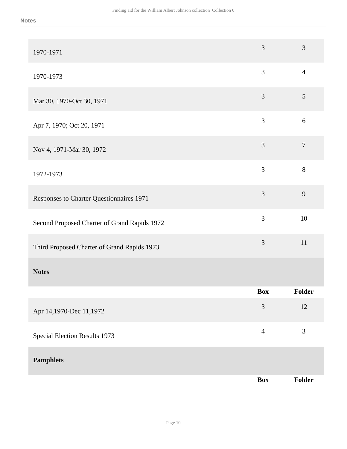| 1970-1971                                    | 3              | 3              |
|----------------------------------------------|----------------|----------------|
| 1970-1973                                    | 3              | $\overline{4}$ |
| Mar 30, 1970-Oct 30, 1971                    | 3              | 5              |
| Apr 7, 1970; Oct 20, 1971                    | 3              | 6              |
| Nov 4, 1971-Mar 30, 1972                     | $\mathfrak{Z}$ | $\tau$         |
| 1972-1973                                    | 3              | 8              |
| Responses to Charter Questionnaires 1971     | 3              | 9              |
| Second Proposed Charter of Grand Rapids 1972 | 3              | 10             |
| Third Proposed Charter of Grand Rapids 1973  | 3              | 11             |
| <b>Notes</b>                                 |                |                |
|                                              | Box            | <b>Folder</b>  |
| Apr 14,1970-Dec 11,1972                      | 3              | $12\,$         |
| Special Election Results 1973                | $\overline{4}$ | 3              |
| <b>Pamphlets</b>                             |                |                |
|                                              | <b>Box</b>     | Folder         |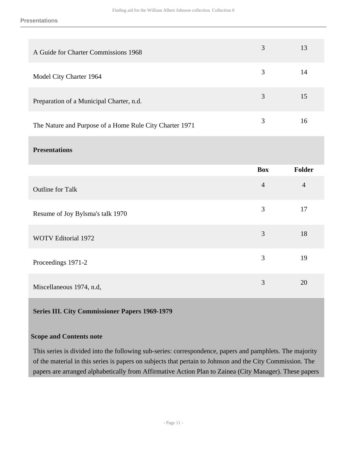| A Guide for Charter Commissions 1968                    | 3 | 13 |
|---------------------------------------------------------|---|----|
| Model City Charter 1964                                 | 3 | 14 |
| Preparation of a Municipal Charter, n.d.                | 3 | 15 |
| The Nature and Purpose of a Home Rule City Charter 1971 | 3 | 16 |
|                                                         |   |    |

### **Presentations**

|                                  | <b>Box</b>     | <b>Folder</b>  |
|----------------------------------|----------------|----------------|
| <b>Outline for Talk</b>          | $\overline{4}$ | $\overline{4}$ |
| Resume of Joy Bylsma's talk 1970 | 3              | 17             |
| WOTV Editorial 1972              | 3              | 18             |
| Proceedings 1971-2               | 3              | 19             |
| Miscellaneous 1974, n.d,         | 3              | 20             |

### <span id="page-10-0"></span>**Series III. City Commissioner Papers 1969-1979**

#### **Scope and Contents note**

This series is divided into the following sub-series: correspondence, papers and pamphlets. The majority of the material in this series is papers on subjects that pertain to Johnson and the City Commission. The papers are arranged alphabetically from Affirmative Action Plan to Zainea (City Manager). These papers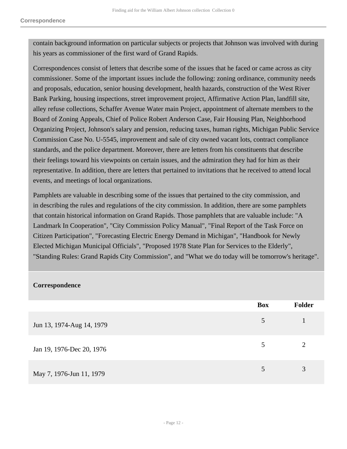contain background information on particular subjects or projects that Johnson was involved with during his years as commissioner of the first ward of Grand Rapids.

Correspondences consist of letters that describe some of the issues that he faced or came across as city commissioner. Some of the important issues include the following: zoning ordinance, community needs and proposals, education, senior housing development, health hazards, construction of the West River Bank Parking, housing inspections, street improvement project, Affirmative Action Plan, landfill site, alley refuse collections, Schaffer Avenue Water main Project, appointment of alternate members to the Board of Zoning Appeals, Chief of Police Robert Anderson Case, Fair Housing Plan, Neighborhood Organizing Project, Johnson's salary and pension, reducing taxes, human rights, Michigan Public Service Commission Case No. U-5545, improvement and sale of city owned vacant lots, contract compliance standards, and the police department. Moreover, there are letters from his constituents that describe their feelings toward his viewpoints on certain issues, and the admiration they had for him as their representative. In addition, there are letters that pertained to invitations that he received to attend local events, and meetings of local organizations.

Pamphlets are valuable in describing some of the issues that pertained to the city commission, and in describing the rules and regulations of the city commission. In addition, there are some pamphlets that contain historical information on Grand Rapids. Those pamphlets that are valuable include: "A Landmark In Cooperation", "City Commission Policy Manual", "Final Report of the Task Force on Citizen Participation", "Forecasting Electric Energy Demand in Michigan", "Handbook for Newly Elected Michigan Municipal Officials", "Proposed 1978 State Plan for Services to the Elderly", "Standing Rules: Grand Rapids City Commission", and "What we do today will be tomorrow's heritage".

| Correspondence            |            |                |
|---------------------------|------------|----------------|
|                           | <b>Box</b> | Folder         |
| Jun 13, 1974-Aug 14, 1979 | 5          |                |
| Jan 19, 1976-Dec 20, 1976 | 5          | $\overline{2}$ |
| May 7, 1976-Jun 11, 1979  | 5          | 3              |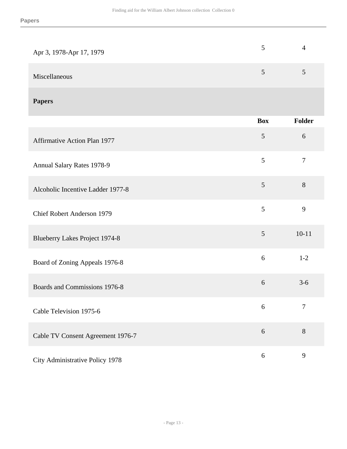| Apr 3, 1978-Apr 17, 1979 | 4      |
|--------------------------|--------|
| Miscellaneous            | $\leq$ |
|                          |        |

### **Papers**

|                                   | <b>Box</b> | <b>Folder</b>  |
|-----------------------------------|------------|----------------|
| Affirmative Action Plan 1977      | 5          | 6              |
| <b>Annual Salary Rates 1978-9</b> | 5          | $\overline{7}$ |
| Alcoholic Incentive Ladder 1977-8 | 5          | $8\,$          |
| <b>Chief Robert Anderson 1979</b> | 5          | 9              |
| Blueberry Lakes Project 1974-8    | 5          | $10 - 11$      |
| Board of Zoning Appeals 1976-8    | 6          | $1-2$          |
| Boards and Commissions 1976-8     | 6          | $3 - 6$        |
| Cable Television 1975-6           | 6          | $\overline{7}$ |
| Cable TV Consent Agreement 1976-7 | 6          | $8\,$          |
| City Administrative Policy 1978   | 6          | 9              |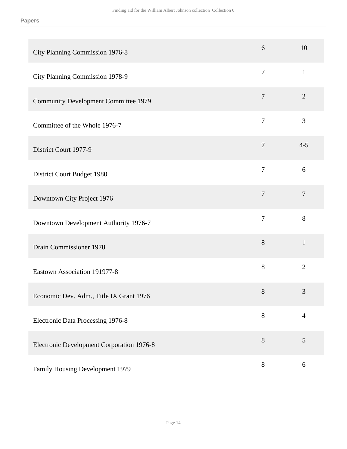| City Planning Commission 1976-8             | 6              | 10             |
|---------------------------------------------|----------------|----------------|
| City Planning Commission 1978-9             | $\overline{7}$ | $\mathbf{1}$   |
| <b>Community Development Committee 1979</b> | $\tau$         | $\overline{2}$ |
| Committee of the Whole 1976-7               | $\overline{7}$ | 3              |
| District Court 1977-9                       | $\tau$         | $4 - 5$        |
| District Court Budget 1980                  | $\overline{7}$ | 6              |
| Downtown City Project 1976                  | $\overline{7}$ | $\overline{7}$ |
| Downtown Development Authority 1976-7       | $\overline{7}$ | 8              |
| Drain Commissioner 1978                     | $8\,$          | $\mathbf{1}$   |
| Eastown Association 191977-8                | 8              | $\overline{2}$ |
| Economic Dev. Adm., Title IX Grant 1976     | $8\,$          | 3              |
| Electronic Data Processing 1976-8           | $8\,$          | $\overline{4}$ |
| Electronic Development Corporation 1976-8   | 8              | 5              |
| Family Housing Development 1979             | $8\,$          | 6              |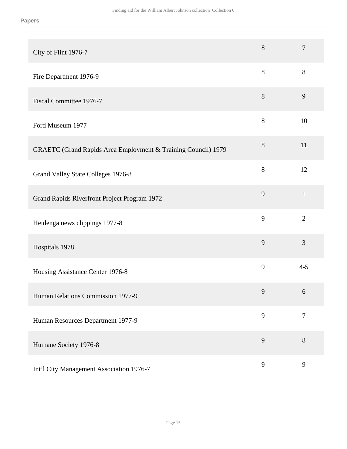| City of Flint 1976-7                                          | 8     | $\overline{7}$ |
|---------------------------------------------------------------|-------|----------------|
| Fire Department 1976-9                                        | 8     | 8              |
| Fiscal Committee 1976-7                                       | 8     | 9              |
| Ford Museum 1977                                              | 8     | 10             |
| GRAETC (Grand Rapids Area Employment & Training Council) 1979 | $8\,$ | 11             |
| Grand Valley State Colleges 1976-8                            | 8     | 12             |
| Grand Rapids Riverfront Project Program 1972                  | 9     | $\mathbf{1}$   |
| Heidenga news clippings 1977-8                                | 9     | $\overline{2}$ |
| Hospitals 1978                                                | 9     | 3              |
| Housing Assistance Center 1976-8                              | 9     | $4 - 5$        |
| Human Relations Commission 1977-9                             | 9     | 6              |
| Human Resources Department 1977-9                             | 9     | $\overline{7}$ |
| Humane Society 1976-8                                         | 9     | 8              |
| Int'l City Management Association 1976-7                      | 9     | 9              |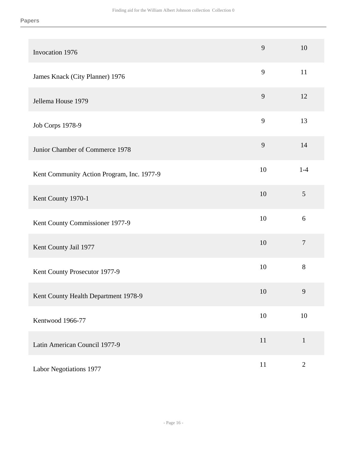| Invocation 1976                            | 9      | 10             |
|--------------------------------------------|--------|----------------|
| James Knack (City Planner) 1976            | 9      | 11             |
| Jellema House 1979                         | 9      | 12             |
| Job Corps 1978-9                           | 9      | 13             |
| Junior Chamber of Commerce 1978            | 9      | 14             |
| Kent Community Action Program, Inc. 1977-9 | 10     | $1-4$          |
| Kent County 1970-1                         | 10     | $\mathfrak{S}$ |
| Kent County Commissioner 1977-9            | 10     | 6              |
| Kent County Jail 1977                      | 10     | $\overline{7}$ |
| Kent County Prosecutor 1977-9              | 10     | 8              |
| Kent County Health Department 1978-9       | 10     | 9              |
| Kentwood 1966-77                           | $10\,$ | 10             |
| Latin American Council 1977-9              | 11     | $\mathbf{1}$   |
| Labor Negotiations 1977                    | $11\,$ | $\mathbf{2}$   |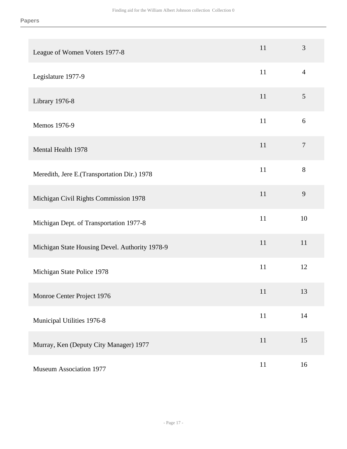| League of Women Voters 1977-8                  | 11     | $\mathfrak{Z}$   |
|------------------------------------------------|--------|------------------|
| Legislature 1977-9                             | 11     | $\overline{4}$   |
| Library 1976-8                                 | 11     | $\mathfrak{S}$   |
| Memos 1976-9                                   | 11     | 6                |
| Mental Health 1978                             | 11     | $\boldsymbol{7}$ |
| Meredith, Jere E.(Transportation Dir.) 1978    | 11     | 8                |
| Michigan Civil Rights Commission 1978          | 11     | 9                |
| Michigan Dept. of Transportation 1977-8        | 11     | 10               |
| Michigan State Housing Devel. Authority 1978-9 | 11     | 11               |
| Michigan State Police 1978                     | $11\,$ | 12               |
| Monroe Center Project 1976                     | 11     | 13               |
| Municipal Utilities 1976-8                     | 11     | 14               |
| Murray, Ken (Deputy City Manager) 1977         | 11     | 15               |
| <b>Museum Association 1977</b>                 | 11     | 16               |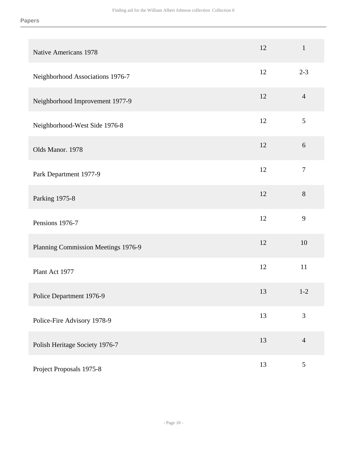| <b>Native Americans 1978</b>        | 12 | $\mathbf 1$      |
|-------------------------------------|----|------------------|
| Neighborhood Associations 1976-7    | 12 | $2 - 3$          |
| Neighborhood Improvement 1977-9     | 12 | $\overline{4}$   |
| Neighborhood-West Side 1976-8       | 12 | 5                |
| Olds Manor. 1978                    | 12 | 6                |
| Park Department 1977-9              | 12 | $\boldsymbol{7}$ |
| Parking 1975-8                      | 12 | 8                |
| Pensions 1976-7                     | 12 | 9                |
| Planning Commission Meetings 1976-9 | 12 | 10               |
| Plant Act 1977                      | 12 | 11               |
| Police Department 1976-9            | 13 | $1 - 2$          |
| Police-Fire Advisory 1978-9         | 13 | 3                |
| Polish Heritage Society 1976-7      | 13 | $\overline{4}$   |
| Project Proposals 1975-8            | 13 | 5                |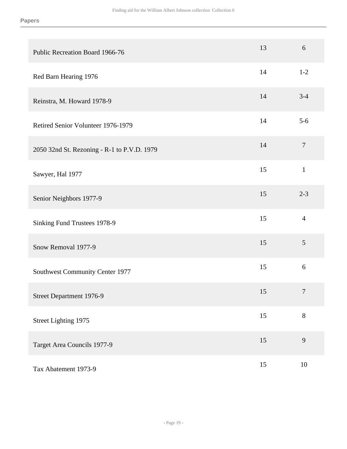| Public Recreation Board 1966-76             | 13 | 6                |
|---------------------------------------------|----|------------------|
| Red Barn Hearing 1976                       | 14 | $1 - 2$          |
| Reinstra, M. Howard 1978-9                  | 14 | $3-4$            |
| Retired Senior Volunteer 1976-1979          | 14 | $5-6$            |
| 2050 32nd St. Rezoning - R-1 to P.V.D. 1979 | 14 | $\overline{7}$   |
| Sawyer, Hal 1977                            | 15 | $\mathbf{1}$     |
| Senior Neighbors 1977-9                     | 15 | $2 - 3$          |
| Sinking Fund Trustees 1978-9                | 15 | $\overline{4}$   |
| Snow Removal 1977-9                         | 15 | $\mathfrak{S}$   |
| Southwest Community Center 1977             | 15 | 6                |
| Street Department 1976-9                    | 15 | $\boldsymbol{7}$ |
| Street Lighting 1975                        | 15 | $8\,$            |
| Target Area Councils 1977-9                 | 15 | 9                |
| Tax Abatement 1973-9                        | 15 | 10               |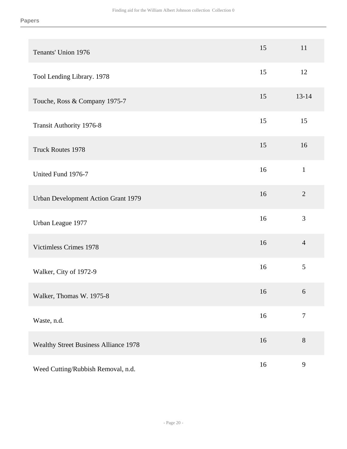| Tenants' Union 1976                          | 15 | 11             |
|----------------------------------------------|----|----------------|
| Tool Lending Library. 1978                   | 15 | 12             |
| Touche, Ross & Company 1975-7                | 15 | $13 - 14$      |
| Transit Authority 1976-8                     | 15 | 15             |
| <b>Truck Routes 1978</b>                     | 15 | 16             |
| United Fund 1976-7                           | 16 | $\mathbf{1}$   |
| Urban Development Action Grant 1979          | 16 | $\overline{2}$ |
| Urban League 1977                            | 16 | 3              |
| Victimless Crimes 1978                       | 16 | $\overline{4}$ |
| Walker, City of 1972-9                       | 16 | 5              |
| Walker, Thomas W. 1975-8                     | 16 | 6              |
| Waste, n.d.                                  | 16 | $\overline{7}$ |
| <b>Wealthy Street Business Alliance 1978</b> | 16 | $8\,$          |
| Weed Cutting/Rubbish Removal, n.d.           | 16 | 9              |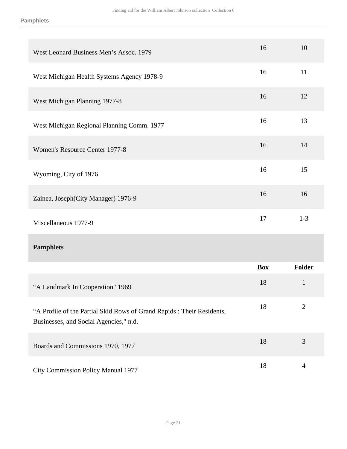| West Leonard Business Men's Assoc. 1979                                                                          | 16         | 10             |
|------------------------------------------------------------------------------------------------------------------|------------|----------------|
| West Michigan Health Systems Agency 1978-9                                                                       | 16         | 11             |
| West Michigan Planning 1977-8                                                                                    | 16         | 12             |
| West Michigan Regional Planning Comm. 1977                                                                       | 16         | 13             |
| Women's Resource Center 1977-8                                                                                   | 16         | 14             |
| Wyoming, City of 1976                                                                                            | 16         | 15             |
| Zainea, Joseph (City Manager) 1976-9                                                                             | 16         | 16             |
| Miscellaneous 1977-9                                                                                             | 17         | $1-3$          |
| <b>Pamphlets</b>                                                                                                 |            |                |
|                                                                                                                  | <b>Box</b> | Folder         |
| "A Landmark In Cooperation" 1969                                                                                 | 18         | $\mathbf{1}$   |
| "A Profile of the Partial Skid Rows of Grand Rapids : Their Residents,<br>Businesses, and Social Agencies," n.d. | 18         | $\overline{2}$ |
| Boards and Commissions 1970, 1977                                                                                | 18         | 3              |
|                                                                                                                  |            |                |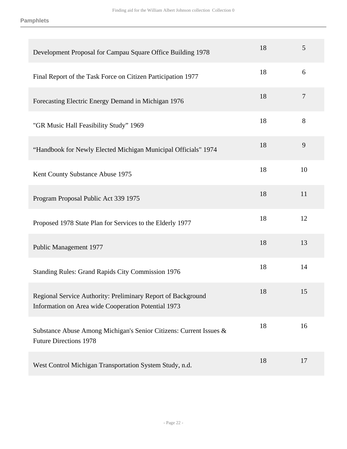| Development Proposal for Campau Square Office Building 1978                                                         | 18 | 5      |
|---------------------------------------------------------------------------------------------------------------------|----|--------|
| Final Report of the Task Force on Citizen Participation 1977                                                        | 18 | 6      |
| Forecasting Electric Energy Demand in Michigan 1976                                                                 | 18 | $\tau$ |
| "GR Music Hall Feasibility Study" 1969                                                                              | 18 | 8      |
| "Handbook for Newly Elected Michigan Municipal Officials" 1974                                                      | 18 | 9      |
| Kent County Substance Abuse 1975                                                                                    | 18 | 10     |
| Program Proposal Public Act 339 1975                                                                                | 18 | 11     |
| Proposed 1978 State Plan for Services to the Elderly 1977                                                           | 18 | 12     |
| Public Management 1977                                                                                              | 18 | 13     |
| <b>Standing Rules: Grand Rapids City Commission 1976</b>                                                            | 18 | 14     |
| Regional Service Authority: Preliminary Report of Background<br>Information on Area wide Cooperation Potential 1973 | 18 | 15     |
| Substance Abuse Among Michigan's Senior Citizens: Current Issues &<br><b>Future Directions 1978</b>                 | 18 | 16     |
| West Control Michigan Transportation System Study, n.d.                                                             | 18 | 17     |